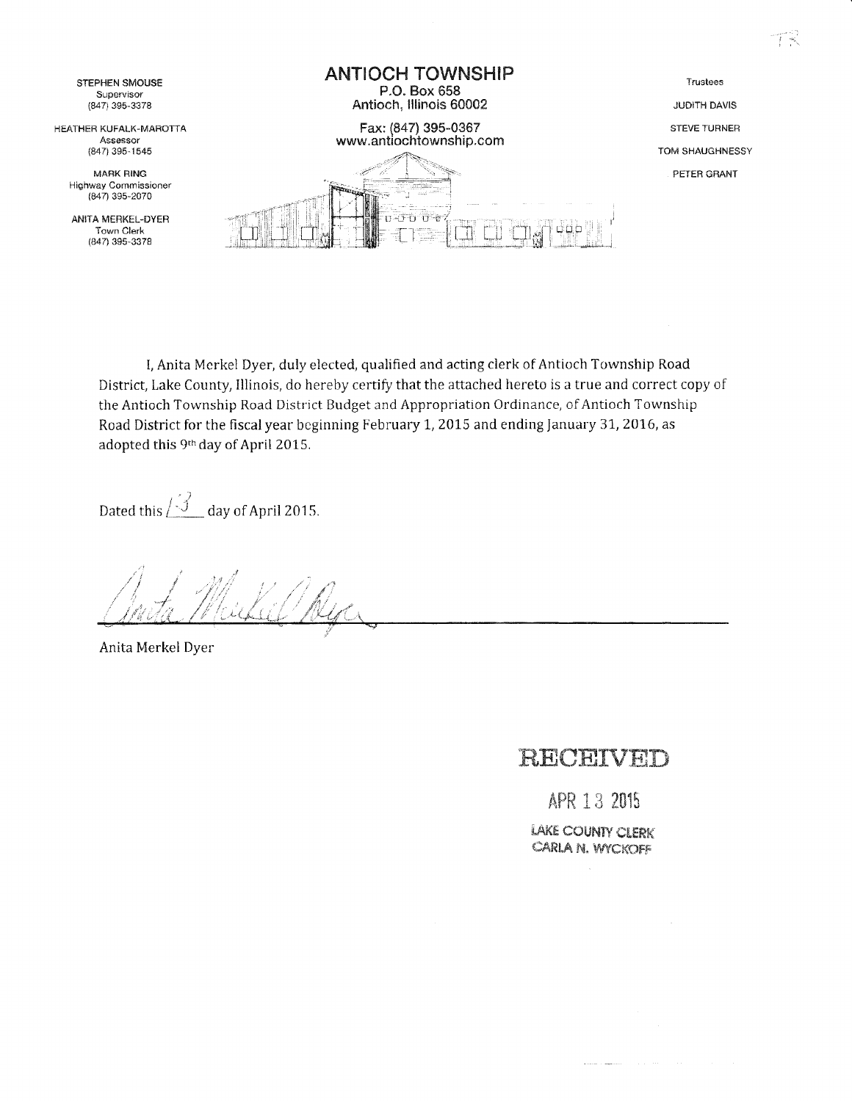

I, Anita Mcrkel Dyer, duly elected, qualified and acting clerk of Antioch Township Road District, Lake County, Illinois, do hereby certify that the attached hereto is a true and correct copy of the Anticch Township Road District Budget and Appropriation Ordinance, of Antioch Township Road District for the fiscal year beginning February 1, 2015 and ending January 31, 2016, as adopted this 9th day of April 2015.

Dated this  $\sqrt{\mathcal{J}}$  day of April 2015.

Kal M /;

Anita Merkel Dyer

# **RECEIVED**

APR 1,3 2015

LAKE COUNTY CLERK CARLA N. WYCKOFF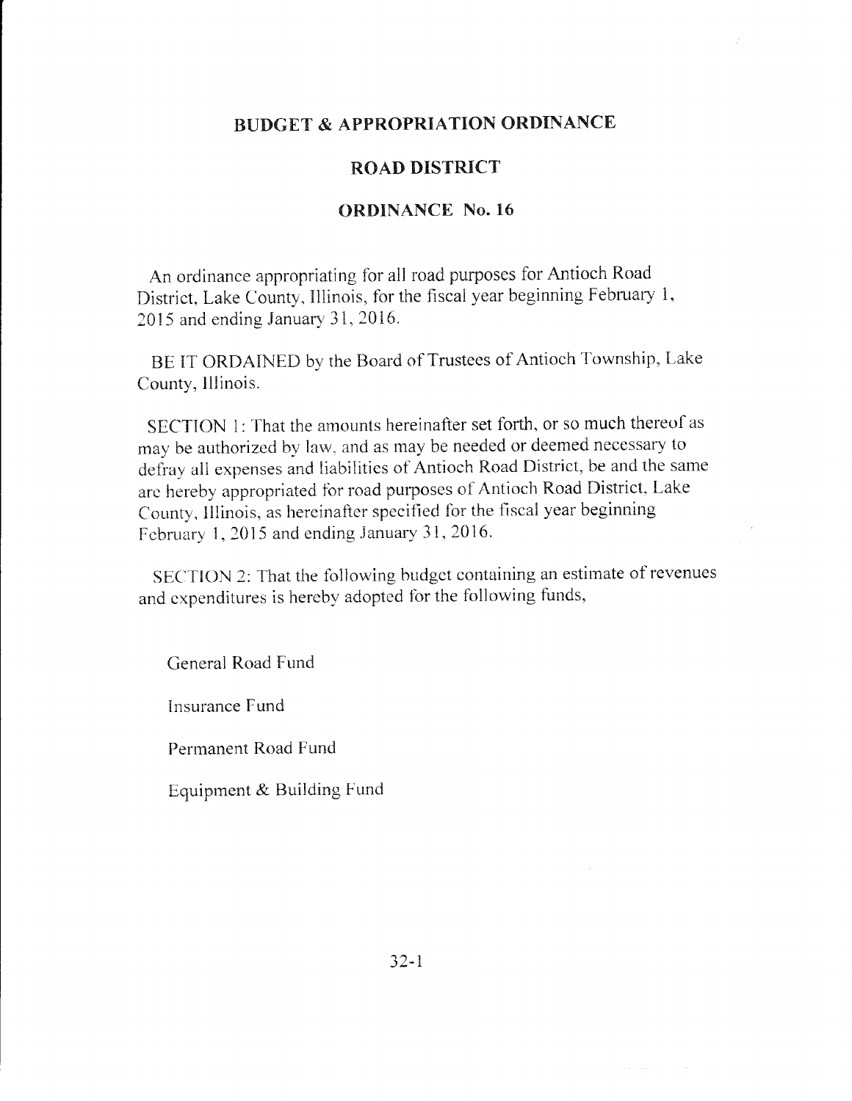# **BUDGET & APPROPRIATION ORDINANCE**

### **ROAD DISTRICT**

#### **ORDINANCE No. 16**

An ordinance appropriating for all road purposes for Antioch Road District, Lake County, Illinois, for the fiscal year beginning February 1, 2015 and ending January 31, 2016.

BE IT ORDAINED by the Board of Trustees of Antioch Township, Lake County, Illinois.

SECTION 1: That the amounts hereinafter set forth, or so much thereof as may be authorized by law, and as may be needed or deemed necessary to defray all expenses and liabilities of Antioch Road District, be and the same are hereby appropriated for road purposes of Antioch Road District, Lake County, Illinois, as hereinafter specified for the fiscal year beginning February 1, 2015 and ending January 31, 2016.

SECTION 2: That the following budget containing an estimate of revenues and expenditures is hereby adopted for the following funds,

General Road Fund

Insurance Fund

Permanent Road Fund

Equipment & Building Fund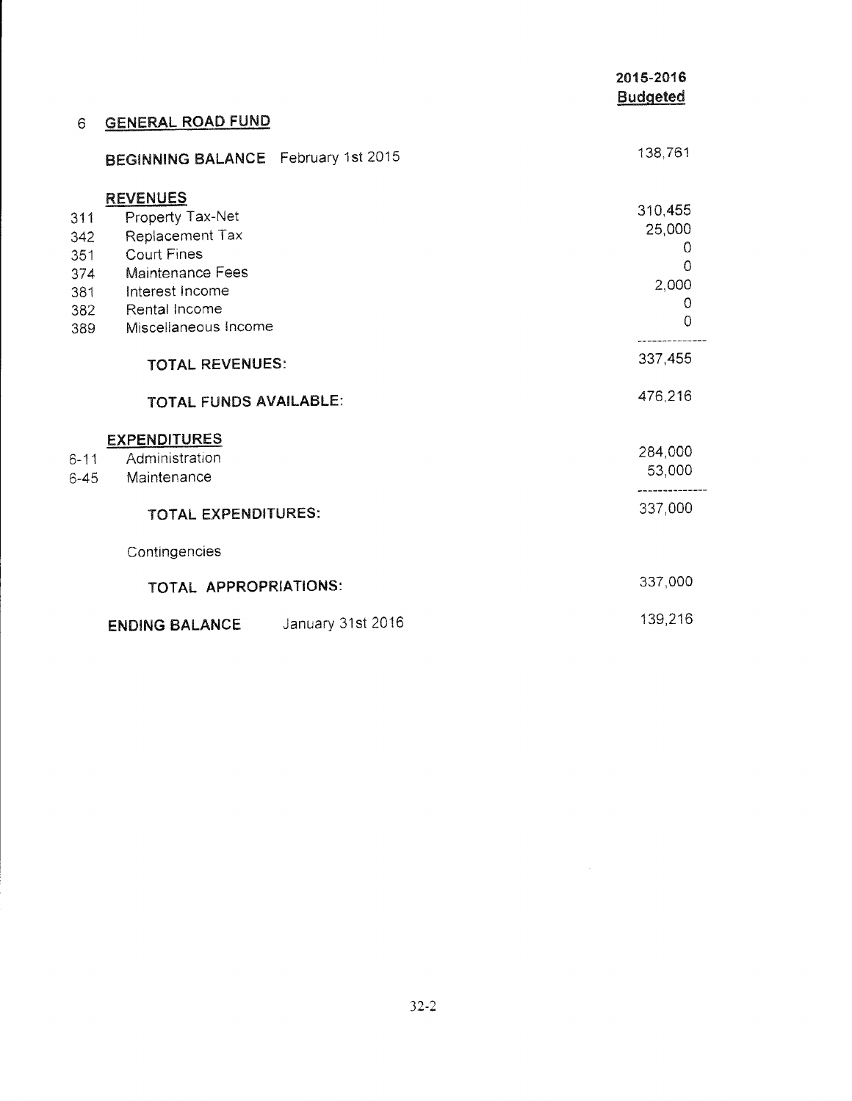|          |                                            | 2015-2016<br><b>Budgeted</b> |
|----------|--------------------------------------------|------------------------------|
| 6        | <b>GENERAL ROAD FUND</b>                   |                              |
|          | BEGINNING BALANCE February 1st 2015        | 138,761                      |
|          | <b>REVENUES</b>                            |                              |
| 311      | Property Tax-Net                           | 310,455                      |
| 342      | Replacement Tax                            | 25,000                       |
| 351      | <b>Court Fines</b>                         | 0                            |
| 374      | <b>Maintenance Fees</b>                    | 0                            |
| 381      | Interest Income                            | 2,000                        |
| 382      | Rental Income                              | 0                            |
| 389      | Miscellaneous Income                       | 0                            |
|          | <b>TOTAL REVENUES:</b>                     | 337,455                      |
|          | <b>TOTAL FUNDS AVAILABLE:</b>              | 476,216                      |
|          | <b>EXPENDITURES</b>                        |                              |
| $6 - 11$ | Administration                             | 284,000                      |
| $6 - 45$ | Maintenance                                | 53,000                       |
|          | TOTAL EXPENDITURES:                        | 337,000                      |
|          | Contingencies                              |                              |
|          | TOTAL APPROPRIATIONS:                      | 337,000                      |
|          | January 31st 2016<br><b>ENDING BALANCE</b> | 139,216                      |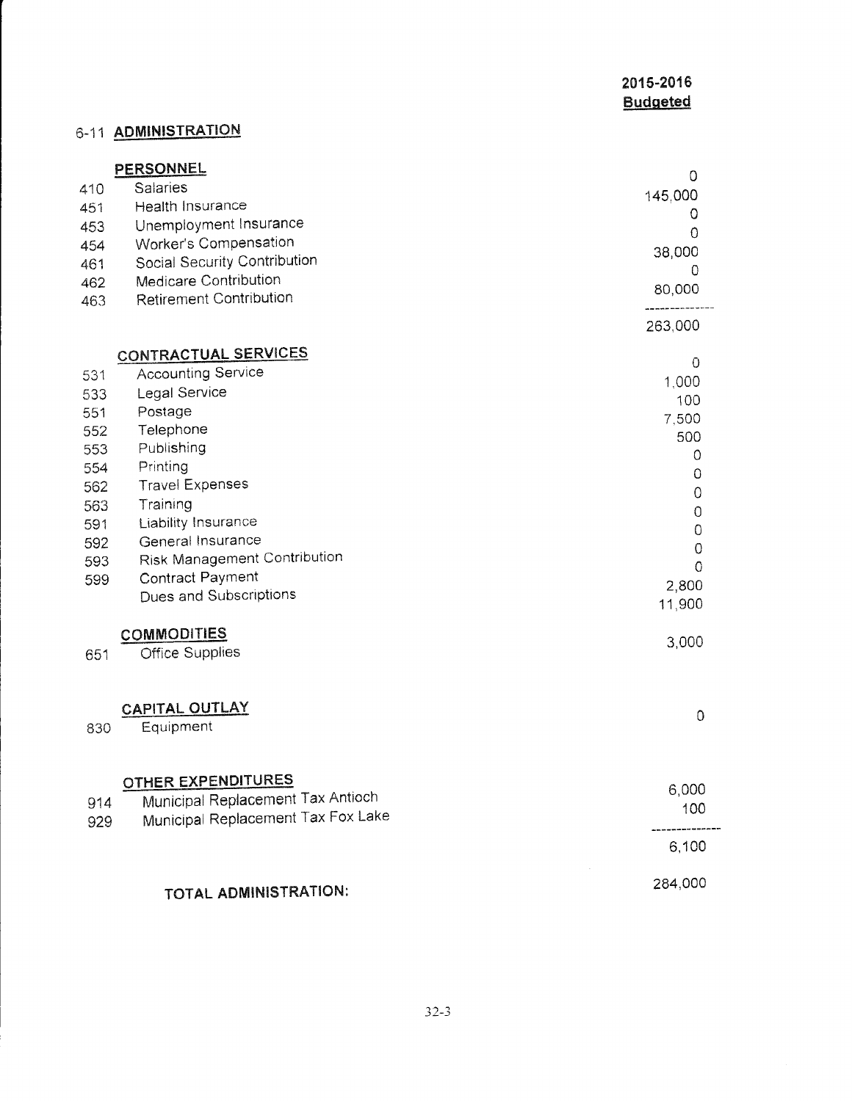# 6-11 ADMINISTRATION

|     | <b>PERSONNEL</b>                    | $\circ$        |
|-----|-------------------------------------|----------------|
| 410 | Salaries                            | 145,000        |
| 451 | Health Insurance                    | 0              |
| 453 | Unemployment Insurance              | 0              |
| 454 | Worker's Compensation               | 38,000         |
| 461 | Social Security Contribution        | 0              |
| 462 | <b>Medicare Contribution</b>        | 80,000         |
| 463 | <b>Retirement Contribution</b>      |                |
|     |                                     | 263,000        |
|     | CONTRACTUAL SERVICES                | 0              |
| 531 | <b>Accounting Service</b>           | 1,000          |
| 533 | Legal Service                       | 100            |
| 551 | Postage                             | 7,500          |
| 552 | Telephone                           | 500            |
| 553 | Publishing                          | 0              |
| 554 | Printing                            | 0              |
| 562 | <b>Travel Expenses</b>              | $\mathbf 0$    |
| 563 | Training                            | $\overline{O}$ |
| 591 | Liability Insurance                 | $\circ$        |
| 592 | General Insurance                   | $\circ$        |
| 593 | <b>Risk Management Contribution</b> | 0              |
| 599 | Contract Payment                    | 2,800          |
|     | Dues and Subscriptions              | 11,900         |
|     | <b>COMMODITIES</b>                  |                |
| 651 | <b>Office Supplies</b>              | 3,000          |
|     | CAPITAL OUTLAY                      | 0              |
| 830 | Equipment                           |                |
|     | OTHER EXPENDITURES                  |                |
| 914 | Municipal Replacement Tax Antioch   | 6,000          |
| 929 | Municipal Replacement Tax Fox Lake  | 100            |
|     |                                     | 6,100          |
|     | TOTAL ADMINISTRATION:               | 284,000        |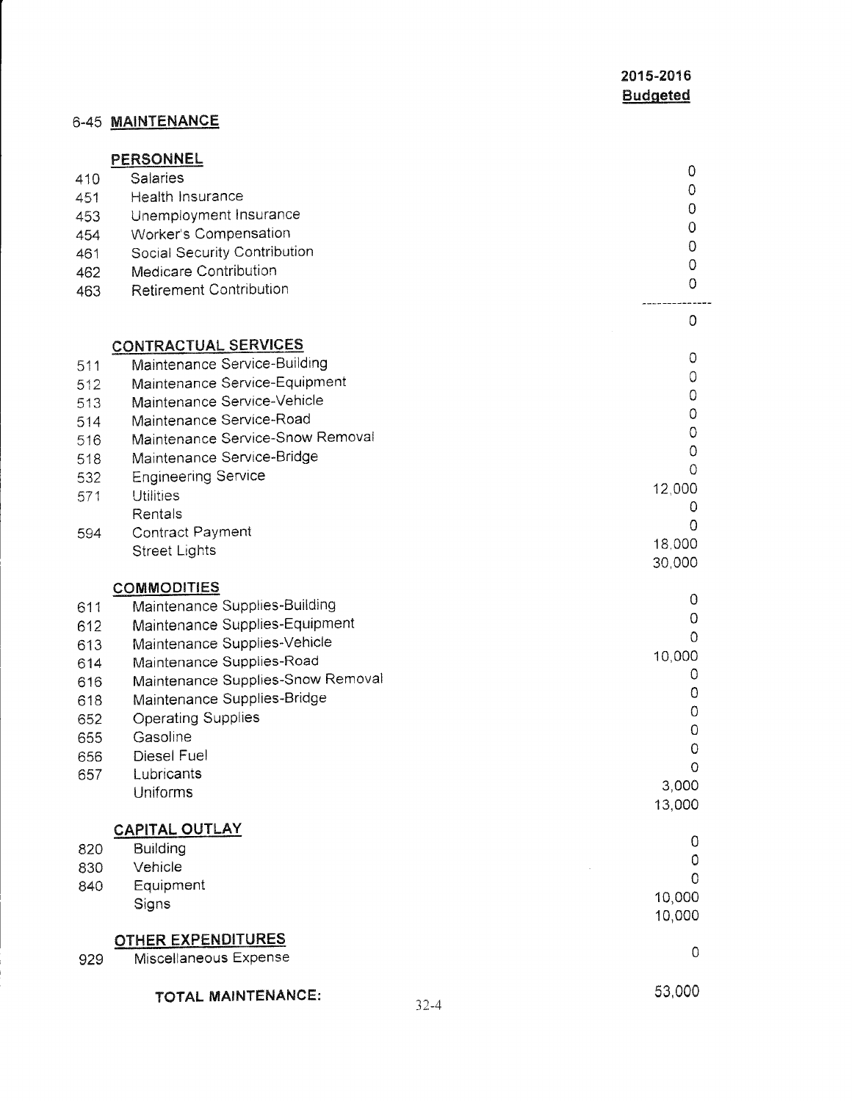### 6-45 MAINTENANCE

|     | <b>PERSONNEL</b>                  |          |                |
|-----|-----------------------------------|----------|----------------|
| 410 | <b>Salaries</b>                   |          | 0              |
| 451 | Health Insurance                  |          | $\circ$        |
| 453 | Unemployment Insurance            |          | 0              |
| 454 | Worker's Compensation             |          | $\mathbf 0$    |
| 461 | Social Security Contribution      |          | 0              |
| 462 | <b>Medicare Contribution</b>      |          | $\circ$        |
| 463 | <b>Retirement Contribution</b>    |          | 0              |
|     |                                   |          |                |
|     |                                   |          | 0              |
|     | <b>CONTRACTUAL SERVICES</b>       |          |                |
| 511 | Maintenance Service-Building      |          | 0              |
| 512 | Maintenance Service-Equipment     |          | 0              |
| 513 | Maintenance Service-Vehicle       |          | 0              |
| 514 | Maintenance Service-Road          |          | 0              |
| 516 | Maintenance Service-Snow Removal  |          | $\circ$        |
| 518 | Maintenance Service-Bridge        |          | 0              |
| 532 | <b>Engineering Service</b>        |          | 0              |
| 571 | <b>Utilities</b>                  |          | 12,000         |
|     | Rentals                           |          | 0              |
| 594 | <b>Contract Payment</b>           |          | 0              |
|     | <b>Street Lights</b>              |          | 18,000         |
|     |                                   |          | 30,000         |
|     | <b>COMMODITIES</b>                |          |                |
| 611 | Maintenance Supplies-Building     |          | 0              |
| 612 | Maintenance Supplies-Equipment    |          | 0              |
| 613 | Maintenance Supplies-Vehicle      |          | $\Omega$       |
| 614 | Maintenance Supplies-Road         |          | 10,000         |
| 616 | Maintenance Supplies-Snow Removal |          | 0              |
| 618 | Maintenance Supplies-Bridge       |          | 0              |
| 652 | <b>Operating Supplies</b>         |          | 0              |
| 655 | Gasoline                          |          | 0              |
| 656 | <b>Diesel Fuel</b>                |          | $\mathbf 0$    |
| 657 | Lubricants                        |          | $\overline{O}$ |
|     | Uniforms                          |          | 3,000          |
|     |                                   |          | 13,000         |
|     | <b>CAPITAL OUTLAY</b>             |          |                |
| 820 | <b>Building</b>                   |          | 0              |
| 830 | Vehicle                           |          | $\circ$        |
| 840 | Equipment                         |          | $\circ$        |
|     | Signs                             |          | 10,000         |
|     |                                   |          | 10,000         |
|     | <b>OTHER EXPENDITURES</b>         |          | $\circ$        |
| 929 | Miscellaneous Expense             |          |                |
|     |                                   |          |                |
|     | <b>TOTAL MAINTENANCE:</b>         | $32 - 4$ | 53,000         |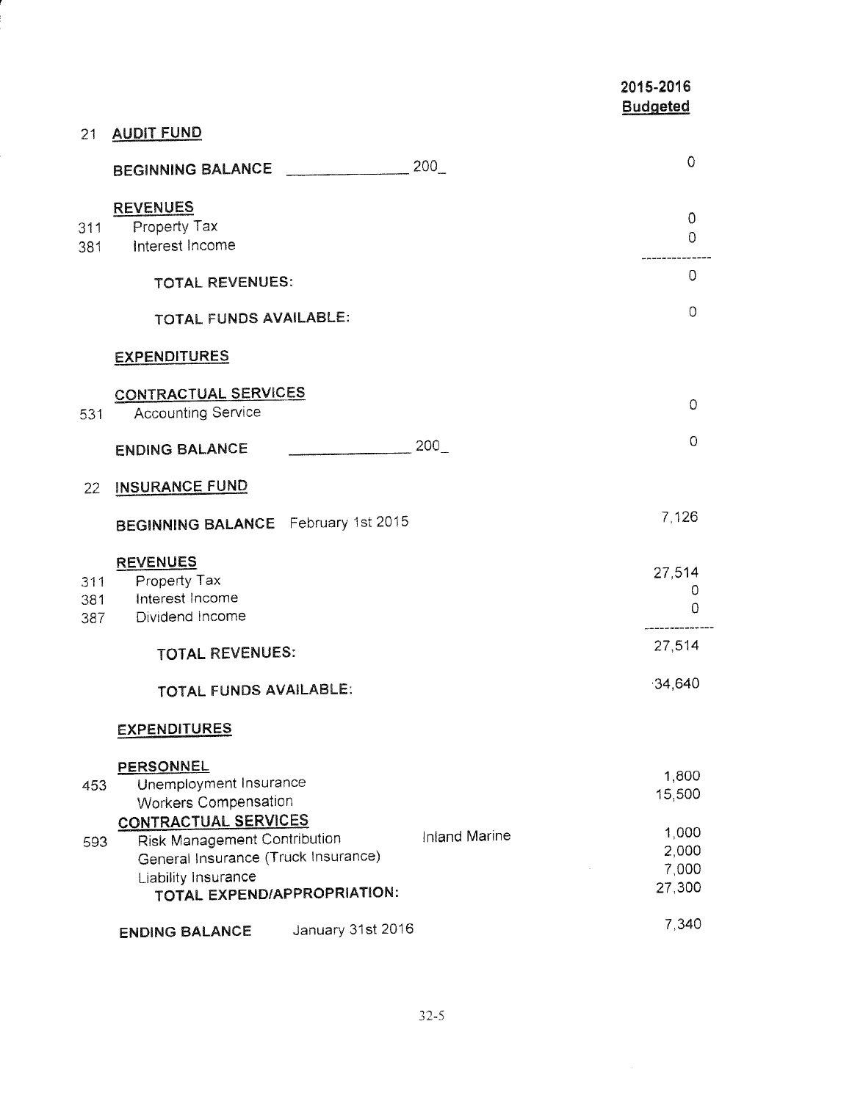|                   |                                                                                                                                                          | 2015-2016<br><b>Budgeted</b>      |
|-------------------|----------------------------------------------------------------------------------------------------------------------------------------------------------|-----------------------------------|
| 21                | <b>AUDIT FUND</b>                                                                                                                                        |                                   |
|                   | 200<br><b>BEGINNING BALANCE</b>                                                                                                                          | 0                                 |
| 311<br>381        | <b>REVENUES</b><br>Property Tax<br>Interest Income                                                                                                       | 0<br>0                            |
|                   | <b>TOTAL REVENUES:</b>                                                                                                                                   | $\overline{0}$                    |
|                   | TOTAL FUNDS AVAILABLE:                                                                                                                                   | 0                                 |
|                   | <b>EXPENDITURES</b>                                                                                                                                      |                                   |
| 531               | <b>CONTRACTUAL SERVICES</b><br><b>Accounting Service</b>                                                                                                 | 0                                 |
|                   | 200<br><b>ENDING BALANCE</b>                                                                                                                             | $\Omega$                          |
| 22                | <b>INSURANCE FUND</b>                                                                                                                                    |                                   |
|                   | BEGINNING BALANCE February 1st 2015                                                                                                                      | 7,126                             |
| 311<br>381<br>387 | <b>REVENUES</b><br>Property Tax<br>Interest Income<br>Dividend Income                                                                                    | 27,514<br>0<br>0                  |
|                   | <b>TOTAL REVENUES:</b>                                                                                                                                   | 27,514                            |
|                   | TOTAL FUNDS AVAILABLE:                                                                                                                                   | $-34,640$                         |
|                   | <b>EXPENDITURES</b>                                                                                                                                      |                                   |
| 453               | <b>PERSONNEL</b><br>Unemployment Insurance<br><b>Workers Compensation</b>                                                                                | 1,800<br>15,500                   |
| 593               | <b>CONTRACTUAL SERVICES</b><br><b>Inland Marine</b><br><b>Risk Management Contribution</b><br>General Insurance (Truck Insurance)<br>Liability Insurance | 1,000<br>2,000<br>7,000<br>27,300 |
|                   | <b>TOTAL EXPEND/APPROPRIATION:</b>                                                                                                                       | 7,340                             |
|                   | January 31st 2016<br><b>ENDING BALANCE</b>                                                                                                               |                                   |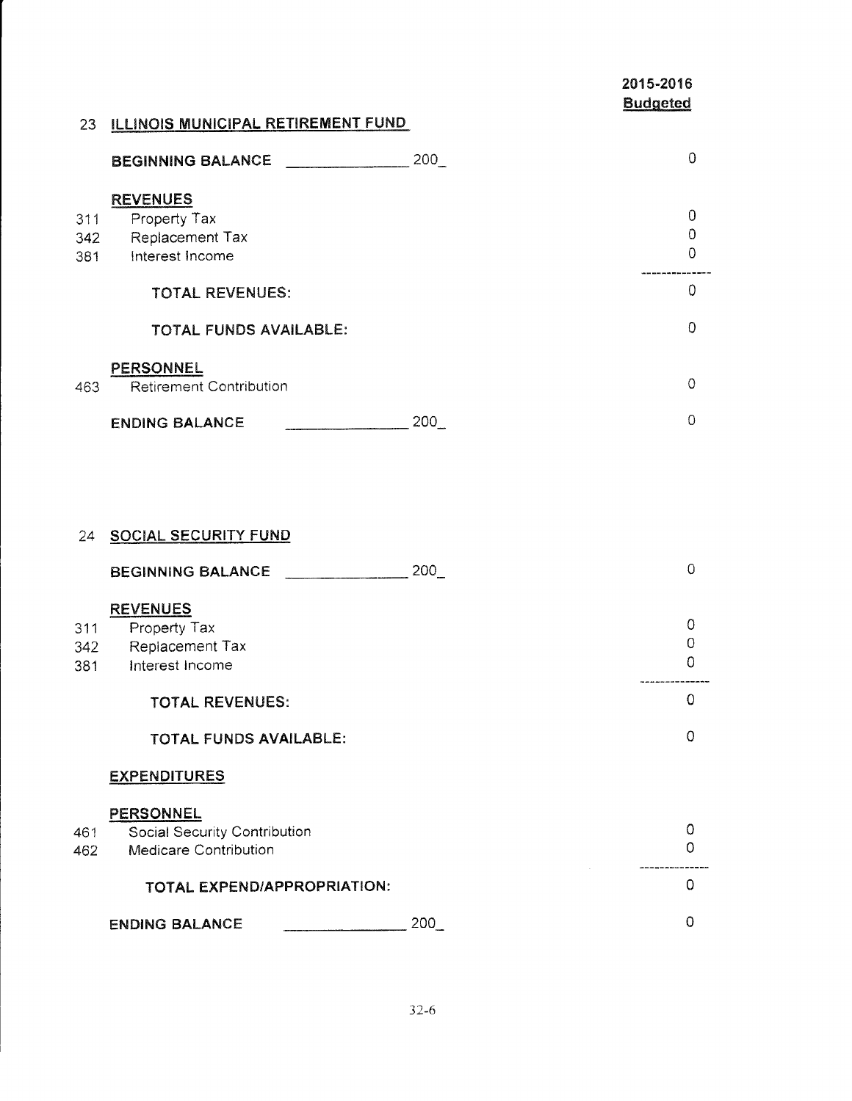### 2015-2016 **Budgeted**

### 23 ILLINOIS MUNICIPAL RETIREMENT FUND

|                   | <b>BEGINNING BALANCE</b>                                              | 200 | Ω           |
|-------------------|-----------------------------------------------------------------------|-----|-------------|
| 311<br>342<br>381 | <b>REVENUES</b><br>Property Tax<br>Replacement Tax<br>Interest Income |     | O<br>Ω<br>O |
|                   | <b>TOTAL REVENUES:</b>                                                |     | 0           |
|                   | TOTAL FUNDS AVAILABLE:                                                |     | $\Omega$    |
| 463               | PERSONNEL<br><b>Retirement Contribution</b>                           |     | $\Omega$    |
|                   | <b>ENDING BALANCE</b>                                                 | 200 | Ω           |

| 24                | SOCIAL SECURITY FUND                                                             |     |                                           |
|-------------------|----------------------------------------------------------------------------------|-----|-------------------------------------------|
|                   | <b>BEGINNING BALANCE</b>                                                         | 200 | $\Omega$                                  |
| 311<br>342<br>381 | <b>REVENUES</b><br>Property Tax<br>Replacement Tax<br>Interest Income            |     | $\overline{0}$<br>$\mathbf 0$<br>$\Omega$ |
|                   | <b>TOTAL REVENUES:</b>                                                           |     | $\Omega$                                  |
|                   | <b>TOTAL FUNDS AVAILABLE:</b>                                                    |     | $\Omega$                                  |
|                   | <b>EXPENDITURES</b>                                                              |     |                                           |
| 461<br>462        | <b>PERSONNEL</b><br>Social Security Contribution<br><b>Medicare Contribution</b> |     | O<br>$\Omega$                             |
|                   | TOTAL EXPEND/APPROPRIATION:                                                      |     | 0                                         |
|                   | <b>ENDING BALANCE</b>                                                            | 200 | 0                                         |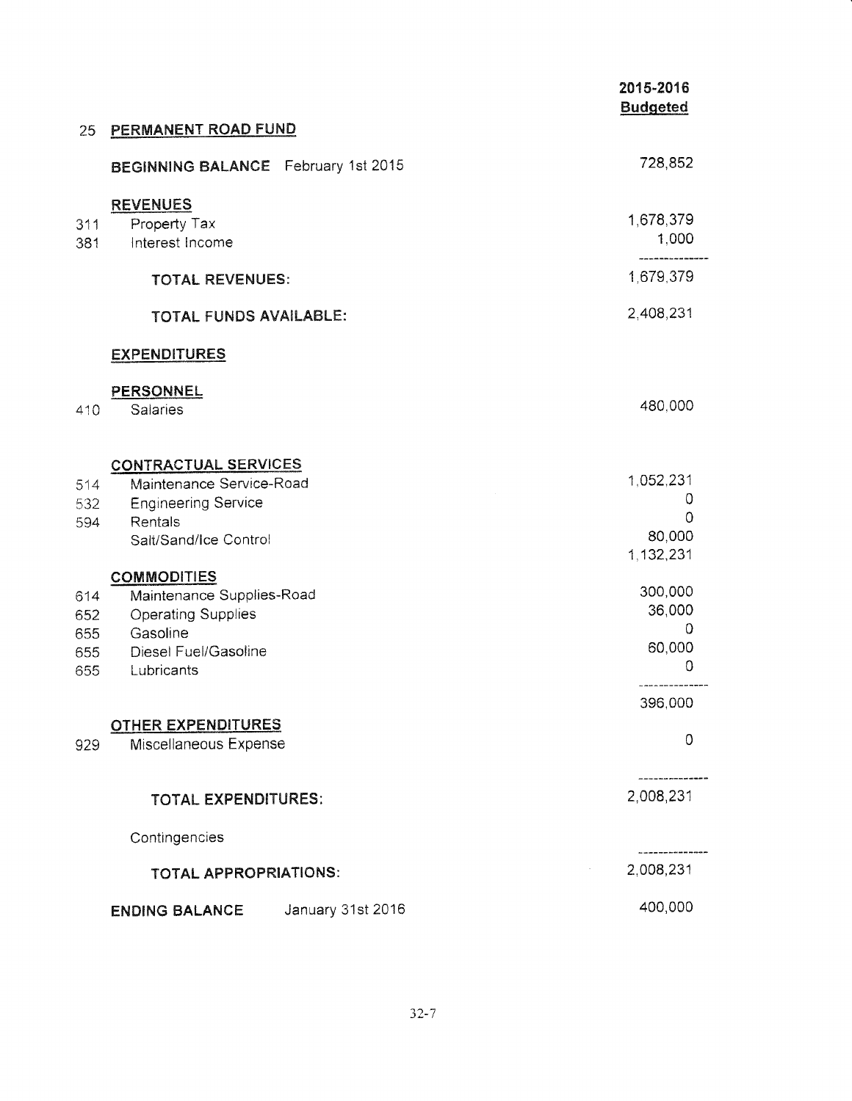|                                 |                                                                                                                                | 2015-2016<br><b>Budgeted</b>               |
|---------------------------------|--------------------------------------------------------------------------------------------------------------------------------|--------------------------------------------|
| 25                              | PERMANENT ROAD FUND                                                                                                            |                                            |
|                                 | <b>BEGINNING BALANCE</b> February 1st 2015                                                                                     | 728,852                                    |
| 311<br>381                      | <b>REVENUES</b><br>Property Tax<br>Interest Income                                                                             | 1,678,379<br>1,000                         |
|                                 | <b>TOTAL REVENUES:</b>                                                                                                         | 1,679,379                                  |
|                                 | TOTAL FUNDS AVAILABLE:                                                                                                         | 2,408,231                                  |
|                                 | <b>EXPENDITURES</b>                                                                                                            |                                            |
| 410                             | <b>PERSONNEL</b><br>Salaries                                                                                                   | 480,000                                    |
| 514<br>532<br>594               | <b>CONTRACTUAL SERVICES</b><br>Maintenance Service-Road<br><b>Engineering Service</b><br>Rentals<br>Salt/Sand/Ice Control      | 1,052,231<br>0<br>0<br>80,000<br>1,132,231 |
| 614<br>652<br>655<br>655<br>655 | <b>COMMODITIES</b><br>Maintenance Supplies-Road<br><b>Operating Supplies</b><br>Gasoline<br>Diesel Fuel/Gasoline<br>Lubricants | 300,000<br>36,000<br>0<br>60,000<br>0      |
| 929                             | <b>OTHER EXPENDITURES</b><br>Miscellaneous Expense                                                                             | 396,000<br>0                               |
|                                 | <b>TOTAL EXPENDITURES:</b>                                                                                                     | 2,008,231                                  |
|                                 | Contingencies                                                                                                                  |                                            |
|                                 | <b>TOTAL APPROPRIATIONS:</b>                                                                                                   | 2,008,231                                  |
|                                 | January 31st 2016<br><b>ENDING BALANCE</b>                                                                                     | 400,000                                    |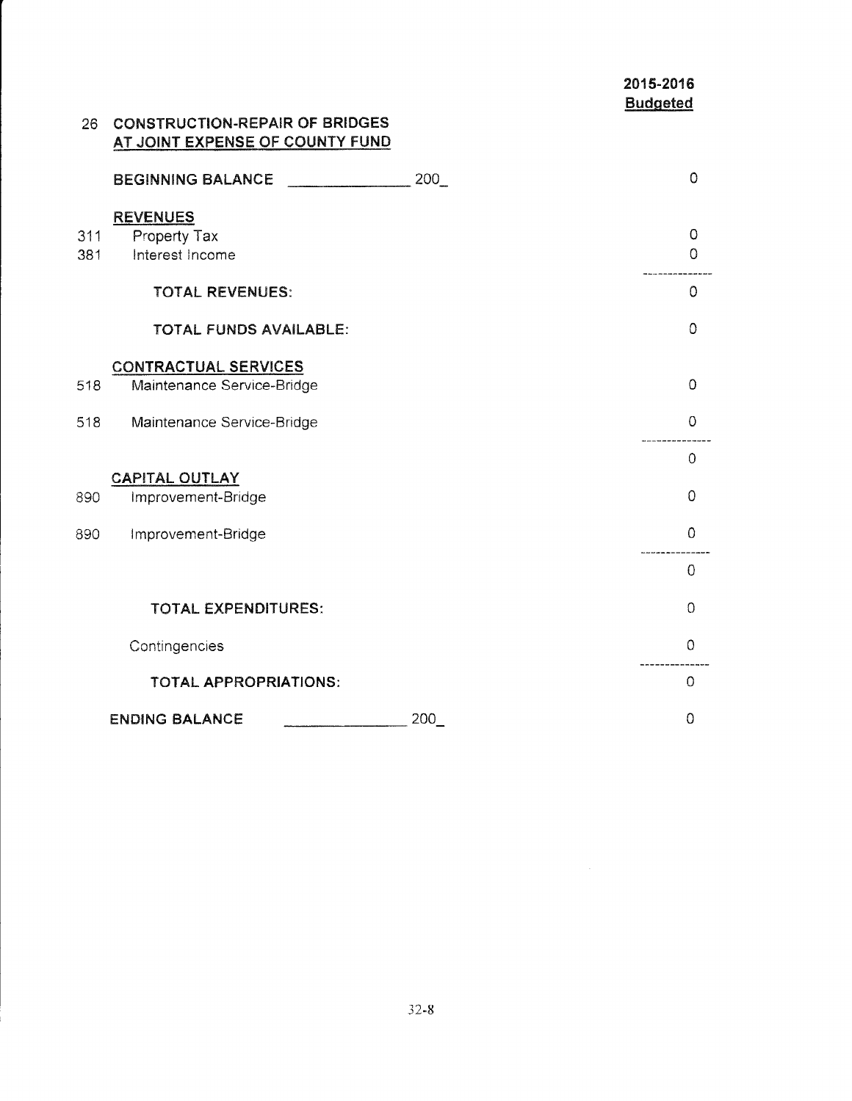## 26 CONSTRUCTION-REPAIR OF BRIDGES AT JOINT EXPENSE OF COUNTY FUND

|            | <b>BEGINNING BALANCE</b>                                  | 200 | $\circ$             |
|------------|-----------------------------------------------------------|-----|---------------------|
| 311<br>381 | <b>REVENUES</b><br>Property Tax<br>Interest Income        |     | $\Omega$<br>$\circ$ |
|            | <b>TOTAL REVENUES:</b>                                    |     | $\circ$             |
|            | <b>TOTAL FUNDS AVAILABLE:</b>                             |     | 0                   |
| 518        | <b>CONTRACTUAL SERVICES</b><br>Maintenance Service-Bridge |     | $\overline{0}$      |
| 518        | Maintenance Service-Bridge                                |     | $\overline{0}$      |
|            |                                                           |     | $\mathbf 0$         |
| 890        | <b>CAPITAL OUTLAY</b><br>Improvement-Bridge               |     | 0                   |
| 890        | Improvement-Bridge                                        |     | 0                   |
|            |                                                           |     | $\overline{0}$      |
|            | <b>TOTAL EXPENDITURES:</b>                                |     | $\Omega$            |
|            | Contingencies                                             |     | 0                   |
|            | <b>TOTAL APPROPRIATIONS:</b>                              |     | $\Omega$            |
|            | <b>ENDING BALANCE</b>                                     | 200 | 0                   |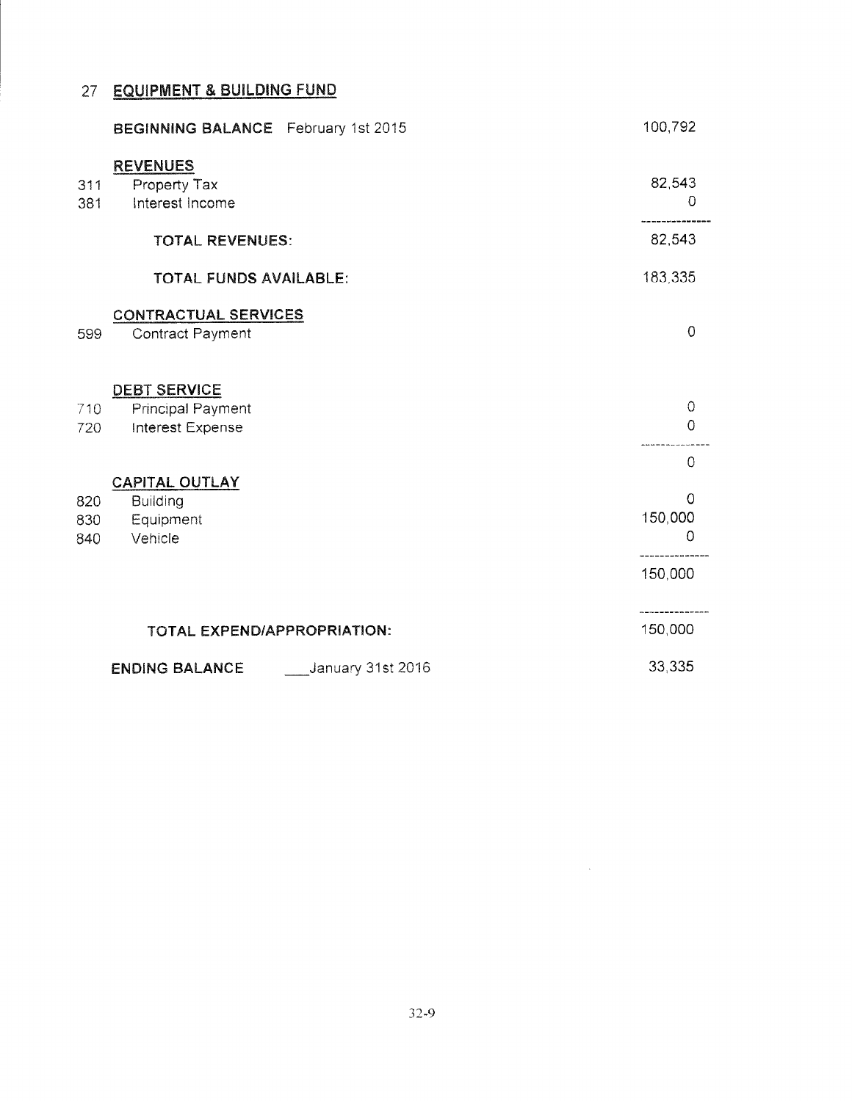# 27 EQUIPMENT & BUILDING FUND

|                   | BEGINNING BALANCE February 1st 2015                                 | 100,792                                    |
|-------------------|---------------------------------------------------------------------|--------------------------------------------|
| 311<br>381        | <b>REVENUES</b><br>Property Tax<br>Interest Income                  | 82,543<br>0                                |
|                   | <b>TOTAL REVENUES:</b>                                              | 82,543                                     |
|                   | TOTAL FUNDS AVAILABLE:                                              | 183,335                                    |
| 599               | <b>CONTRACTUAL SERVICES</b><br><b>Contract Payment</b>              | $\circ$                                    |
| 710<br>720        | <b>DEBT SERVICE</b><br><b>Principal Payment</b><br>Interest Expense | $\circ$<br>$\circ$                         |
| 820<br>830<br>840 | <b>CAPITAL OUTLAY</b><br><b>Building</b><br>Equipment<br>Vehicle    | $\mathbf 0$<br>0<br>150,000<br>$\mathbf 0$ |
|                   |                                                                     | 150,000                                    |
|                   | TOTAL EXPEND/APPROPRIATION:                                         | 150,000                                    |
|                   | January 31st 2016<br><b>ENDING BALANCE</b>                          | 33,335                                     |

 $\label{eq:2.1} \mathcal{L}(\mathcal{L}^{\text{max}}_{\text{max}}(\mathcal{L}^{\text{max}}_{\text{max}}))$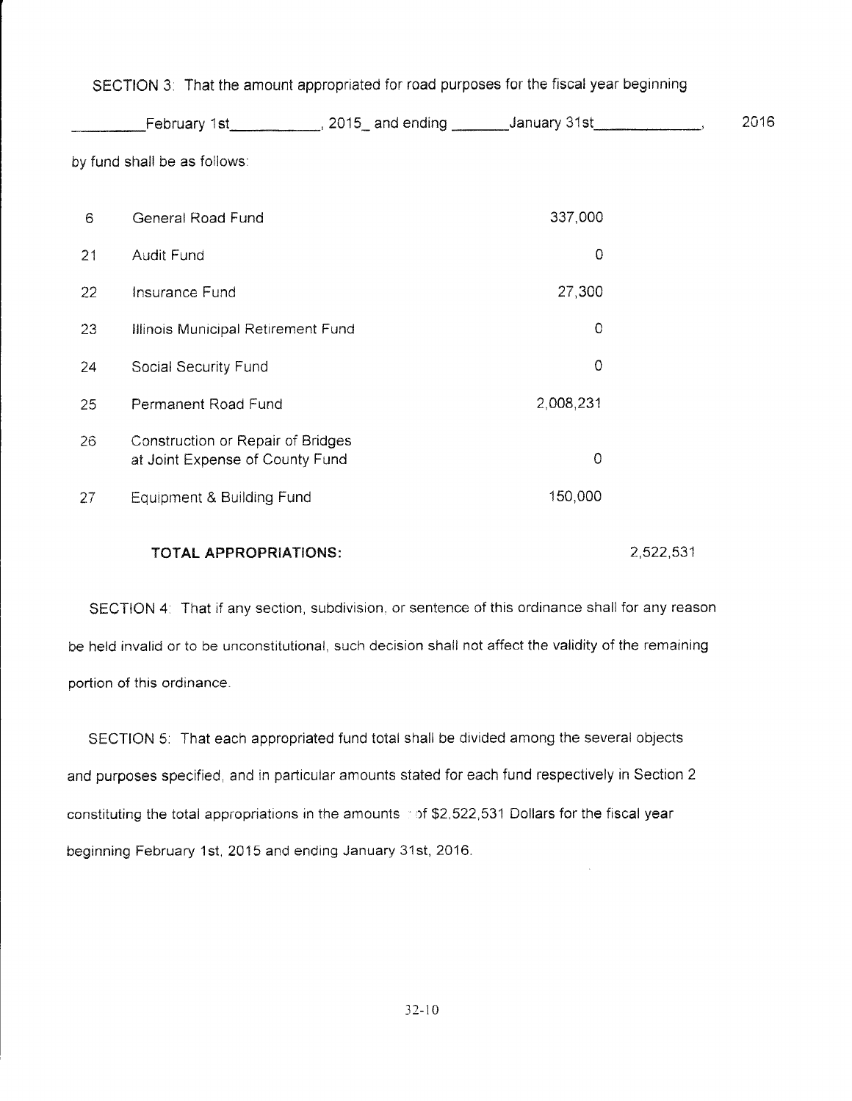|    |                                                                      | February 1st ____________, 2015_and ending ________January 31st |             | 2016 |
|----|----------------------------------------------------------------------|-----------------------------------------------------------------|-------------|------|
|    | by fund shall be as follows:                                         |                                                                 |             |      |
| 6  | General Road Fund                                                    |                                                                 | 337,000     |      |
| 21 | <b>Audit Fund</b>                                                    |                                                                 | $\circ$     |      |
| 22 | Insurance Fund                                                       |                                                                 | 27,300      |      |
| 23 | Illinois Municipal Retirement Fund                                   |                                                                 | $\circ$     |      |
| 24 | Social Security Fund                                                 |                                                                 | $\mathbf 0$ |      |
| 25 | Permanent Road Fund                                                  |                                                                 | 2,008,231   |      |
| 26 | Construction or Repair of Bridges<br>at Joint Expense of County Fund |                                                                 | $\mathbf 0$ |      |
| 27 | Equipment & Building Fund                                            |                                                                 | 150,000     |      |
|    |                                                                      |                                                                 |             |      |

#### SECTION 3: That the amount appropriated for road purposes for the fiscal year beginning

#### TOTAL APPROPRIATIONS:

2,522,531

SECTION 4: That if any section, subdivision, or sentence of this ordinance shall for any reason be held invalid or to be unconstitutional, such decision shall not affect the validity of the remaining portion of this ordinance.

SECTION 5: That each appropriated fund total shall be divided among the several objects and purposes specified, and in particular amounts stated for each fund respectively in Section 2 constituting the total appropriations in the amounts  $\pm$  of \$2,522,531 Dollars for the fiscal year beginning February 1st, 2015 and ending January 31st, 2016.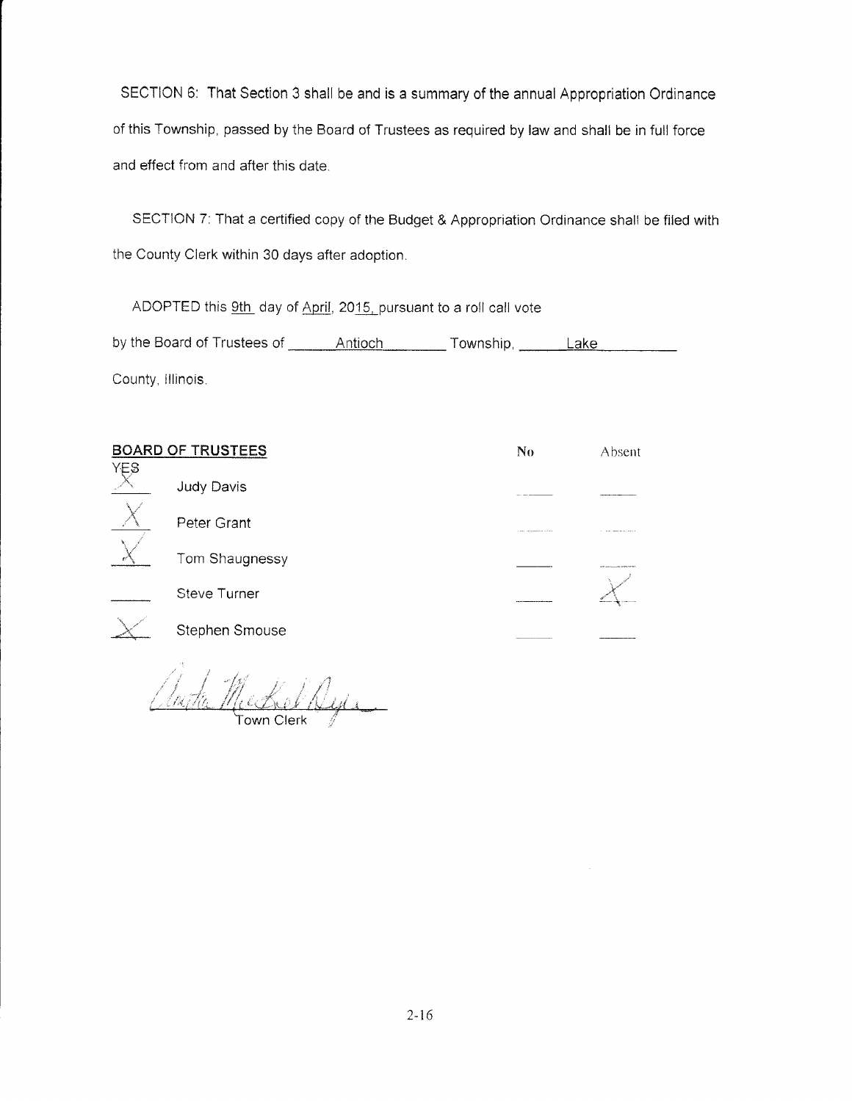SECTION 6: That Section 3 shall be and is a summary of the annual Appropriation Ordinance of this Township, passed by the Board of Trustees as required by law and shall be in full force and effect from and after this date.

SECTION 7: That a certified copy of the Budget & Appropriation Ordinance shall be filed with the County Clerk within 30 days after adoption.

ADOPTED this 9th day of April, 2015, pursuant to a roll call vote by the Board of Trustees of \_\_\_\_\_\_ Antioch Township, \_\_\_\_\_ Lake County, lllinois

| YE <sub>8</sub> | <b>BOARD OF TRUSTEES</b> | No                                  | Absent                    |
|-----------------|--------------------------|-------------------------------------|---------------------------|
|                 | Judy Davis               |                                     |                           |
|                 | Peter Grant              | contract commencements of the state | .  _ _ _ _ _ _ _ _ _ _    |
|                 | Tom Shaugnessy           |                                     | <b>WE AN ALLIAN MARCH</b> |
|                 | <b>Steve Turner</b>      |                                     |                           |
|                 | Stephen Smouse           |                                     |                           |

' i I /,", .i , ;i Linita Mickel Nyis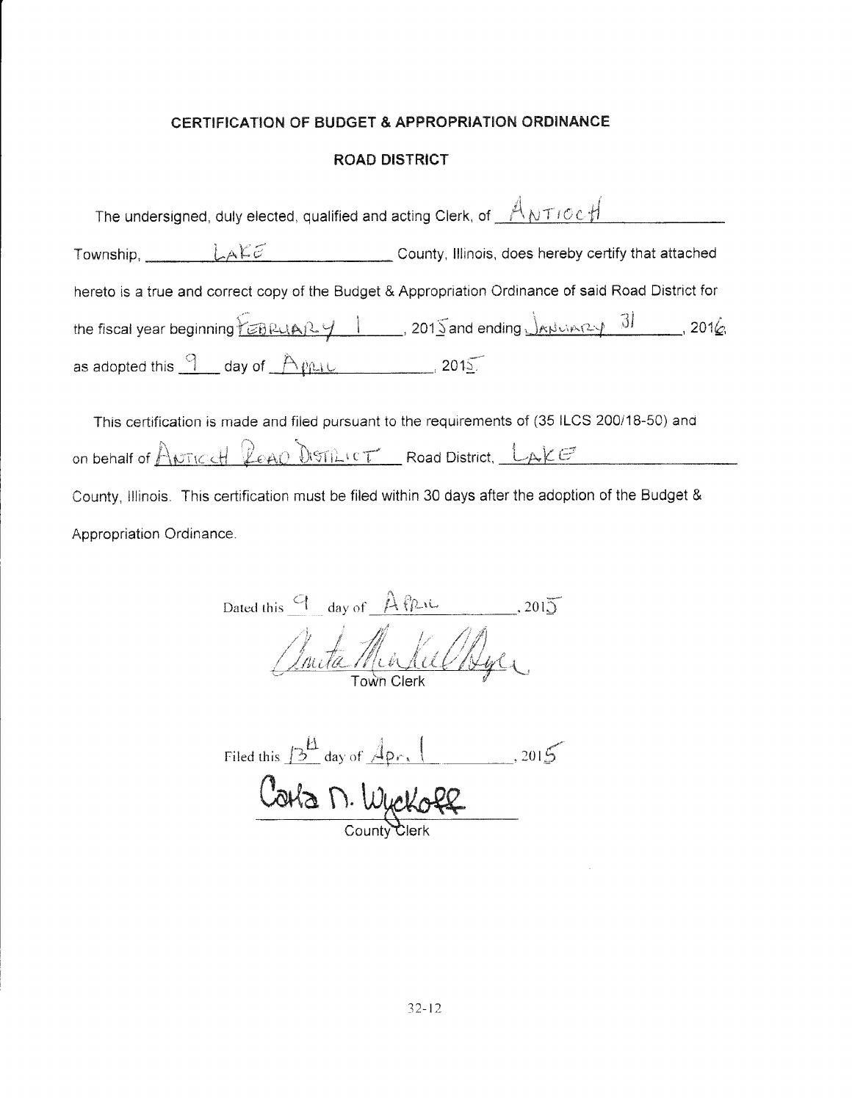#### CERTIFICATION OF BUDGET & APPROPRIATION ORDINANCE

#### **ROAD DISTRICT**

| The undersigned, duly elected, qualified and acting Clerk, of $A_{NTICE}$                                                                                                                                                                                                                                                                                          |                                                                                                     |
|--------------------------------------------------------------------------------------------------------------------------------------------------------------------------------------------------------------------------------------------------------------------------------------------------------------------------------------------------------------------|-----------------------------------------------------------------------------------------------------|
| Township, $LAEE$                                                                                                                                                                                                                                                                                                                                                   | County, Illinois, does hereby certify that attached                                                 |
|                                                                                                                                                                                                                                                                                                                                                                    | hereto is a true and correct copy of the Budget & Appropriation Ordinance of said Road District for |
| the fiscal year beginning $\widetilde{E}$ $\overline{B}$ $\overline{R}$ $\overline{R}$ $\overline{R}$ $\overline{R}$ $\overline{R}$ $\overline{R}$ $\overline{R}$ $\overline{R}$ $\overline{R}$ $\overline{R}$ $\overline{R}$ $\overline{R}$ $\overline{R}$ $\overline{R}$ $\overline{R}$ $\overline{R}$ $\overline{R}$ $\overline{R}$ $\overline{R}$ $\overline{$ | 2016                                                                                                |
| as adopted this $\frac{9}{2}$ day of $\bigcap \psi_{\text{ML}}$                                                                                                                                                                                                                                                                                                    | 2015                                                                                                |

This certification is made and filed pursuant to the requirements of (35 ILCS 200/18-50) and on behalf of ANTICH Road Distiller Road District, LAKE County, Illinois. This certification must be filed within 30 days after the adoption of the Budget & Appropriation Ordinance.

Dated this  $\frac{q}{q}$  day of  $\frac{A \beta \mu \kappa}{q}$ , 2015 anta Minkel Byer

Filed this  $12^{\text{H}}$  day of  $\text{A}_{\text{Pr}}$ .  $2015$ 

Joha n. Wyckołł